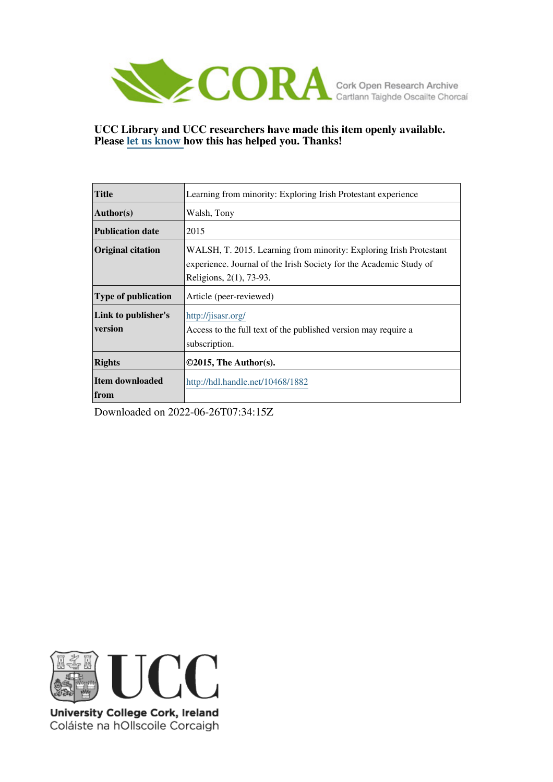

**UCC Library and UCC researchers have made this item openly available. Please [let us know h](https://libguides.ucc.ie/openaccess/impact?suffix=1882&title=Learning from minority: Exploring Irish Protestant experience)ow this has helped you. Thanks!**

| <b>Title</b>                   | Learning from minority: Exploring Irish Protestant experience                                                                                                       |
|--------------------------------|---------------------------------------------------------------------------------------------------------------------------------------------------------------------|
| <b>Author(s)</b>               | Walsh, Tony                                                                                                                                                         |
| <b>Publication date</b>        | 2015                                                                                                                                                                |
| <b>Original citation</b>       | WALSH, T. 2015. Learning from minority: Exploring Irish Protestant<br>experience. Journal of the Irish Society for the Academic Study of<br>Religions, 2(1), 73-93. |
| <b>Type of publication</b>     | Article (peer-reviewed)                                                                                                                                             |
| Link to publisher's<br>version | http://jisasr.org/<br>Access to the full text of the published version may require a<br>subscription.                                                               |
| <b>Rights</b>                  | $\odot$ 2015, The Author(s).                                                                                                                                        |
| <b>Item downloaded</b><br>from | http://hdl.handle.net/10468/1882                                                                                                                                    |

Downloaded on 2022-06-26T07:34:15Z



University College Cork, Ireland Coláiste na hOllscoile Corcaigh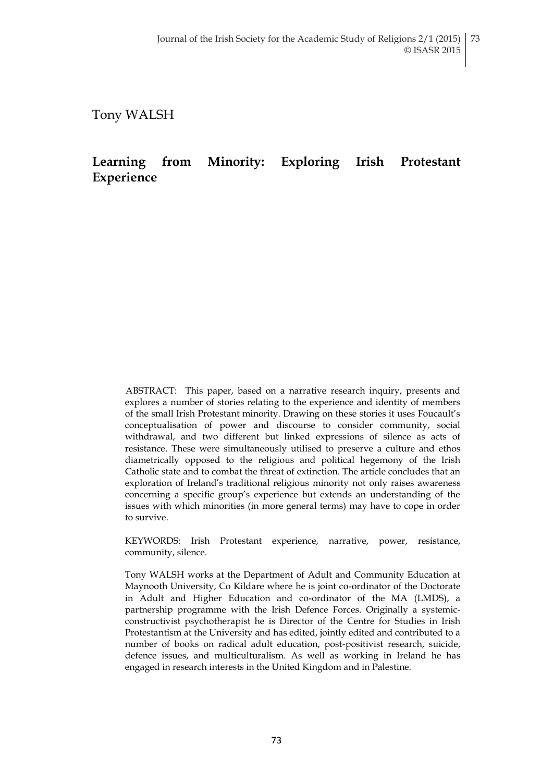Tony WALSH

# **Learning from Minority: Exploring Irish Protestant Experience**

ABSTRACT: This paper, based on a narrative research inquiry, presents and explores a number of stories relating to the experience and identity of members of the small Irish Protestant minority. Drawing on these stories it uses Foucault"s conceptualisation of power and discourse to consider community, social withdrawal, and two different but linked expressions of silence as acts of resistance. These were simultaneously utilised to preserve a culture and ethos diametrically opposed to the religious and political hegemony of the Irish Catholic state and to combat the threat of extinction. The article concludes that an exploration of Ireland"s traditional religious minority not only raises awareness concerning a specific group"s experience but extends an understanding of the issues with which minorities (in more general terms) may have to cope in order to survive.

KEYWORDS: Irish Protestant experience, narrative, power, resistance, community, silence.

Tony WALSH works at the Department of Adult and Community Education at Maynooth University, Co Kildare where he is joint co-ordinator of the Doctorate in Adult and Higher Education and co-ordinator of the MA (LMDS), a partnership programme with the Irish Defence Forces. Originally a systemicconstructivist psychotherapist he is Director of the Centre for Studies in Irish Protestantism at the University and has edited, jointly edited and contributed to a number of books on radical adult education, post-positivist research, suicide, defence issues, and multiculturalism. As well as working in Ireland he has engaged in research interests in the United Kingdom and in Palestine.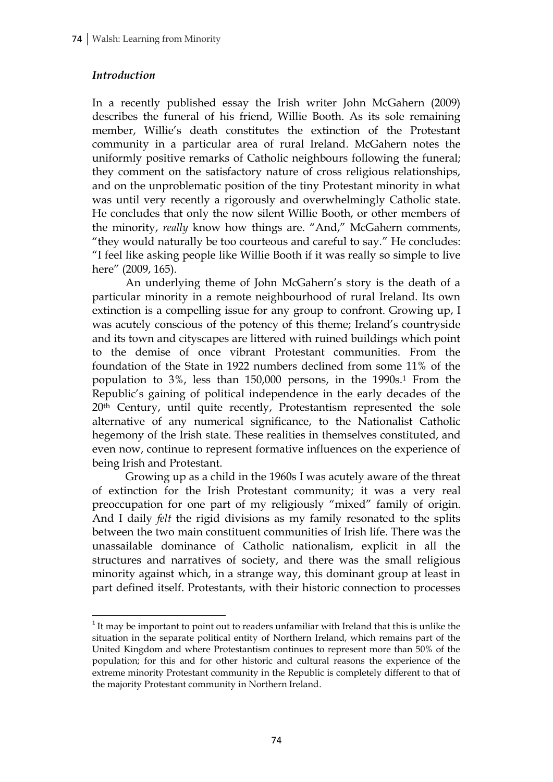## *Introduction*

 $\overline{a}$ 

In a recently published essay the Irish writer John McGahern (2009) describes the funeral of his friend, Willie Booth. As its sole remaining member, Willie"s death constitutes the extinction of the Protestant community in a particular area of rural Ireland. McGahern notes the uniformly positive remarks of Catholic neighbours following the funeral; they comment on the satisfactory nature of cross religious relationships, and on the unproblematic position of the tiny Protestant minority in what was until very recently a rigorously and overwhelmingly Catholic state. He concludes that only the now silent Willie Booth, or other members of the minority, *really* know how things are. "And," McGahern comments, "they would naturally be too courteous and careful to say." He concludes: "I feel like asking people like Willie Booth if it was really so simple to live here" (2009, 165).

An underlying theme of John McGahern"s story is the death of a particular minority in a remote neighbourhood of rural Ireland. Its own extinction is a compelling issue for any group to confront. Growing up, I was acutely conscious of the potency of this theme; Ireland"s countryside and its town and cityscapes are littered with ruined buildings which point to the demise of once vibrant Protestant communities. From the foundation of the State in 1922 numbers declined from some 11% of the population to 3%, less than 150,000 persons, in the 1990s.<sup>1</sup> From the Republic"s gaining of political independence in the early decades of the 20<sup>th</sup> Century, until quite recently, Protestantism represented the sole alternative of any numerical significance, to the Nationalist Catholic hegemony of the Irish state. These realities in themselves constituted, and even now, continue to represent formative influences on the experience of being Irish and Protestant.

Growing up as a child in the 1960s I was acutely aware of the threat of extinction for the Irish Protestant community; it was a very real preoccupation for one part of my religiously "mixed" family of origin. And I daily *felt* the rigid divisions as my family resonated to the splits between the two main constituent communities of Irish life. There was the unassailable dominance of Catholic nationalism, explicit in all the structures and narratives of society, and there was the small religious minority against which, in a strange way, this dominant group at least in part defined itself. Protestants, with their historic connection to processes

 $1$ <sup>1</sup> It may be important to point out to readers unfamiliar with Ireland that this is unlike the situation in the separate political entity of Northern Ireland, which remains part of the United Kingdom and where Protestantism continues to represent more than 50% of the population; for this and for other historic and cultural reasons the experience of the extreme minority Protestant community in the Republic is completely different to that of the majority Protestant community in Northern Ireland.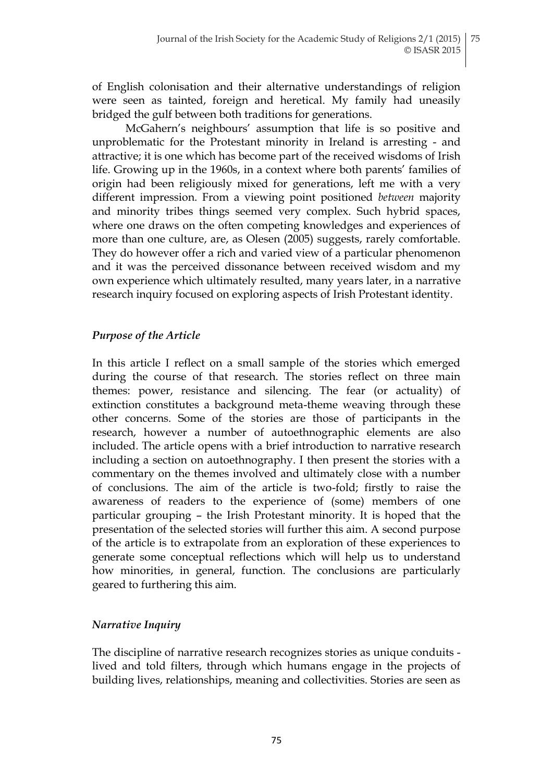of English colonisation and their alternative understandings of religion were seen as tainted, foreign and heretical. My family had uneasily bridged the gulf between both traditions for generations.

McGahern"s neighbours" assumption that life is so positive and unproblematic for the Protestant minority in Ireland is arresting - and attractive; it is one which has become part of the received wisdoms of Irish life. Growing up in the 1960s, in a context where both parents' families of origin had been religiously mixed for generations, left me with a very different impression. From a viewing point positioned *between* majority and minority tribes things seemed very complex. Such hybrid spaces, where one draws on the often competing knowledges and experiences of more than one culture, are, as Olesen (2005) suggests, rarely comfortable. They do however offer a rich and varied view of a particular phenomenon and it was the perceived dissonance between received wisdom and my own experience which ultimately resulted, many years later, in a narrative research inquiry focused on exploring aspects of Irish Protestant identity.

## *Purpose of the Article*

In this article I reflect on a small sample of the stories which emerged during the course of that research. The stories reflect on three main themes: power, resistance and silencing. The fear (or actuality) of extinction constitutes a background meta-theme weaving through these other concerns. Some of the stories are those of participants in the research, however a number of autoethnographic elements are also included. The article opens with a brief introduction to narrative research including a section on autoethnography. I then present the stories with a commentary on the themes involved and ultimately close with a number of conclusions. The aim of the article is two-fold; firstly to raise the awareness of readers to the experience of (some) members of one particular grouping – the Irish Protestant minority. It is hoped that the presentation of the selected stories will further this aim. A second purpose of the article is to extrapolate from an exploration of these experiences to generate some conceptual reflections which will help us to understand how minorities, in general, function. The conclusions are particularly geared to furthering this aim.

## *Narrative Inquiry*

The discipline of narrative research recognizes stories as unique conduits lived and told filters, through which humans engage in the projects of building lives, relationships, meaning and collectivities. Stories are seen as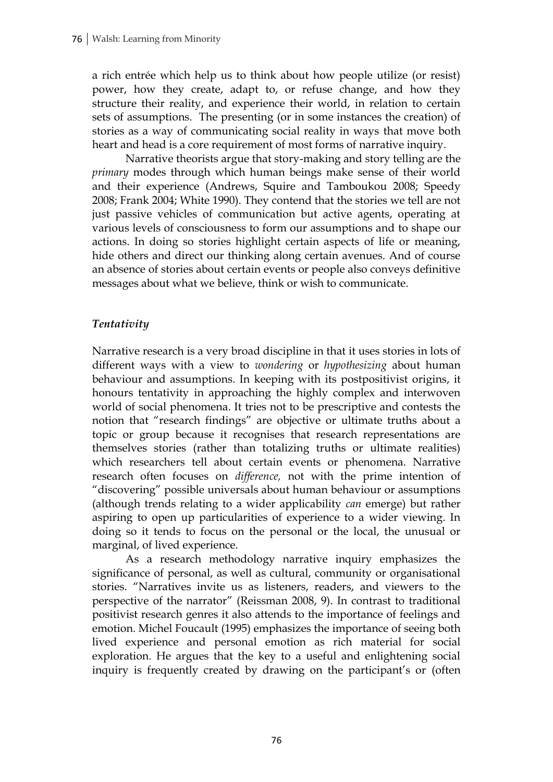a rich entrée which help us to think about how people utilize (or resist) power, how they create, adapt to, or refuse change, and how they structure their reality, and experience their world, in relation to certain sets of assumptions. The presenting (or in some instances the creation) of stories as a way of communicating social reality in ways that move both heart and head is a core requirement of most forms of narrative inquiry.

Narrative theorists argue that story-making and story telling are the *primary* modes through which human beings make sense of their world and their experience (Andrews, Squire and Tamboukou 2008; Speedy 2008; Frank 2004; White 1990). They contend that the stories we tell are not just passive vehicles of communication but active agents, operating at various levels of consciousness to form our assumptions and to shape our actions. In doing so stories highlight certain aspects of life or meaning, hide others and direct our thinking along certain avenues. And of course an absence of stories about certain events or people also conveys definitive messages about what we believe, think or wish to communicate.

# *Tentativity*

Narrative research is a very broad discipline in that it uses stories in lots of different ways with a view to *wondering* or *hypothesizing* about human behaviour and assumptions. In keeping with its postpositivist origins, it honours tentativity in approaching the highly complex and interwoven world of social phenomena. It tries not to be prescriptive and contests the notion that "research findings" are objective or ultimate truths about a topic or group because it recognises that research representations are themselves stories (rather than totalizing truths or ultimate realities) which researchers tell about certain events or phenomena. Narrative research often focuses on *difference,* not with the prime intention of "discovering" possible universals about human behaviour or assumptions (although trends relating to a wider applicability *can* emerge) but rather aspiring to open up particularities of experience to a wider viewing. In doing so it tends to focus on the personal or the local, the unusual or marginal, of lived experience.

As a research methodology narrative inquiry emphasizes the significance of personal, as well as cultural, community or organisational stories. "Narratives invite us as listeners, readers, and viewers to the perspective of the narrator" (Reissman 2008, 9). In contrast to traditional positivist research genres it also attends to the importance of feelings and emotion. Michel Foucault (1995) emphasizes the importance of seeing both lived experience and personal emotion as rich material for social exploration. He argues that the key to a useful and enlightening social inquiry is frequently created by drawing on the participant's or (often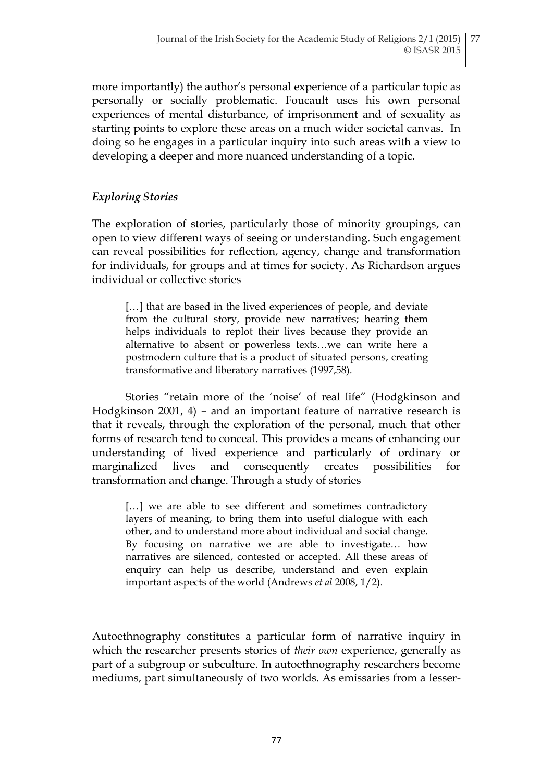more importantly) the author's personal experience of a particular topic as personally or socially problematic. Foucault uses his own personal experiences of mental disturbance, of imprisonment and of sexuality as starting points to explore these areas on a much wider societal canvas. In doing so he engages in a particular inquiry into such areas with a view to developing a deeper and more nuanced understanding of a topic.

## *Exploring Stories*

The exploration of stories, particularly those of minority groupings, can open to view different ways of seeing or understanding. Such engagement can reveal possibilities for reflection, agency, change and transformation for individuals, for groups and at times for society. As Richardson argues individual or collective stories

[...] that are based in the lived experiences of people, and deviate from the cultural story, provide new narratives; hearing them helps individuals to replot their lives because they provide an alternative to absent or powerless texts…we can write here a postmodern culture that is a product of situated persons, creating transformative and liberatory narratives (1997,58).

Stories "retain more of the "noise" of real life" (Hodgkinson and Hodgkinson 2001, 4) – and an important feature of narrative research is that it reveals, through the exploration of the personal, much that other forms of research tend to conceal. This provides a means of enhancing our understanding of lived experience and particularly of ordinary or marginalized lives and consequently creates possibilities for transformation and change. Through a study of stories

[...] we are able to see different and sometimes contradictory layers of meaning, to bring them into useful dialogue with each other, and to understand more about individual and social change. By focusing on narrative we are able to investigate… how narratives are silenced, contested or accepted. All these areas of enquiry can help us describe, understand and even explain important aspects of the world (Andrews *et al* 2008, 1/2).

Autoethnography constitutes a particular form of narrative inquiry in which the researcher presents stories of *their own* experience, generally as part of a subgroup or subculture. In autoethnography researchers become mediums, part simultaneously of two worlds. As emissaries from a lesser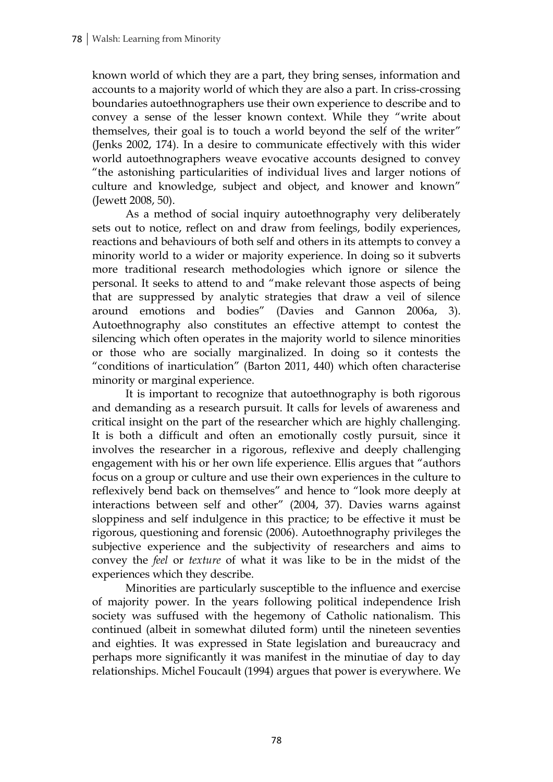known world of which they are a part, they bring senses, information and accounts to a majority world of which they are also a part. In criss-crossing boundaries autoethnographers use their own experience to describe and to convey a sense of the lesser known context. While they "write about themselves, their goal is to touch a world beyond the self of the writer" (Jenks 2002, 174). In a desire to communicate effectively with this wider world autoethnographers weave evocative accounts designed to convey "the astonishing particularities of individual lives and larger notions of culture and knowledge, subject and object, and knower and known" (Jewett 2008, 50).

As a method of social inquiry autoethnography very deliberately sets out to notice, reflect on and draw from feelings, bodily experiences, reactions and behaviours of both self and others in its attempts to convey a minority world to a wider or majority experience. In doing so it subverts more traditional research methodologies which ignore or silence the personal. It seeks to attend to and "make relevant those aspects of being that are suppressed by analytic strategies that draw a veil of silence around emotions and bodies" (Davies and Gannon 2006a, 3). Autoethnography also constitutes an effective attempt to contest the silencing which often operates in the majority world to silence minorities or those who are socially marginalized. In doing so it contests the "conditions of inarticulation" (Barton 2011, 440) which often characterise minority or marginal experience.

It is important to recognize that autoethnography is both rigorous and demanding as a research pursuit. It calls for levels of awareness and critical insight on the part of the researcher which are highly challenging. It is both a difficult and often an emotionally costly pursuit, since it involves the researcher in a rigorous, reflexive and deeply challenging engagement with his or her own life experience. Ellis argues that "authors focus on a group or culture and use their own experiences in the culture to reflexively bend back on themselves" and hence to "look more deeply at interactions between self and other" (2004, 37). Davies warns against sloppiness and self indulgence in this practice; to be effective it must be rigorous, questioning and forensic (2006). Autoethnography privileges the subjective experience and the subjectivity of researchers and aims to convey the *feel* or *texture* of what it was like to be in the midst of the experiences which they describe.

Minorities are particularly susceptible to the influence and exercise of majority power. In the years following political independence Irish society was suffused with the hegemony of Catholic nationalism. This continued (albeit in somewhat diluted form) until the nineteen seventies and eighties. It was expressed in State legislation and bureaucracy and perhaps more significantly it was manifest in the minutiae of day to day relationships. Michel Foucault (1994) argues that power is everywhere. We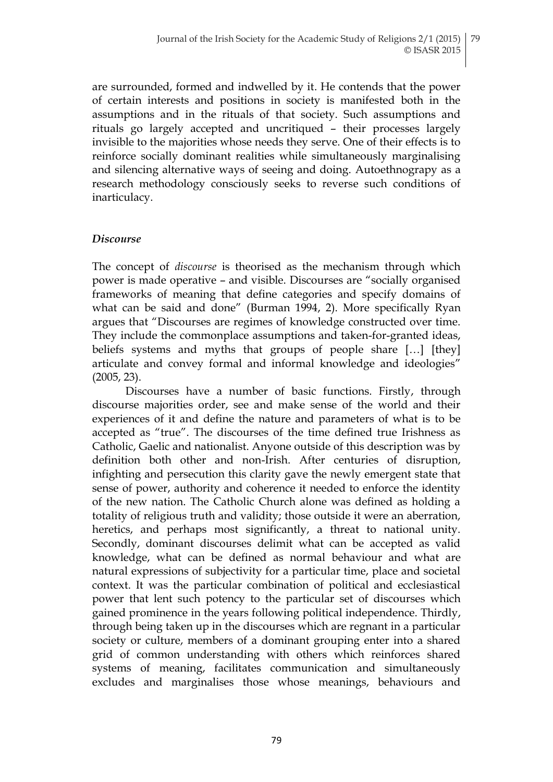are surrounded, formed and indwelled by it. He contends that the power of certain interests and positions in society is manifested both in the assumptions and in the rituals of that society. Such assumptions and rituals go largely accepted and uncritiqued – their processes largely invisible to the majorities whose needs they serve. One of their effects is to reinforce socially dominant realities while simultaneously marginalising and silencing alternative ways of seeing and doing. Autoethnograpy as a research methodology consciously seeks to reverse such conditions of inarticulacy.

#### *Discourse*

The concept of *discourse* is theorised as the mechanism through which power is made operative – and visible. Discourses are "socially organised frameworks of meaning that define categories and specify domains of what can be said and done" (Burman 1994, 2). More specifically Ryan argues that "Discourses are regimes of knowledge constructed over time. They include the commonplace assumptions and taken-for-granted ideas, beliefs systems and myths that groups of people share […] [they] articulate and convey formal and informal knowledge and ideologies" (2005, 23).

Discourses have a number of basic functions. Firstly, through discourse majorities order, see and make sense of the world and their experiences of it and define the nature and parameters of what is to be accepted as "true". The discourses of the time defined true Irishness as Catholic, Gaelic and nationalist. Anyone outside of this description was by definition both other and non-Irish. After centuries of disruption, infighting and persecution this clarity gave the newly emergent state that sense of power, authority and coherence it needed to enforce the identity of the new nation. The Catholic Church alone was defined as holding a totality of religious truth and validity; those outside it were an aberration, heretics, and perhaps most significantly, a threat to national unity. Secondly, dominant discourses delimit what can be accepted as valid knowledge, what can be defined as normal behaviour and what are natural expressions of subjectivity for a particular time, place and societal context. It was the particular combination of political and ecclesiastical power that lent such potency to the particular set of discourses which gained prominence in the years following political independence. Thirdly, through being taken up in the discourses which are regnant in a particular society or culture, members of a dominant grouping enter into a shared grid of common understanding with others which reinforces shared systems of meaning, facilitates communication and simultaneously excludes and marginalises those whose meanings, behaviours and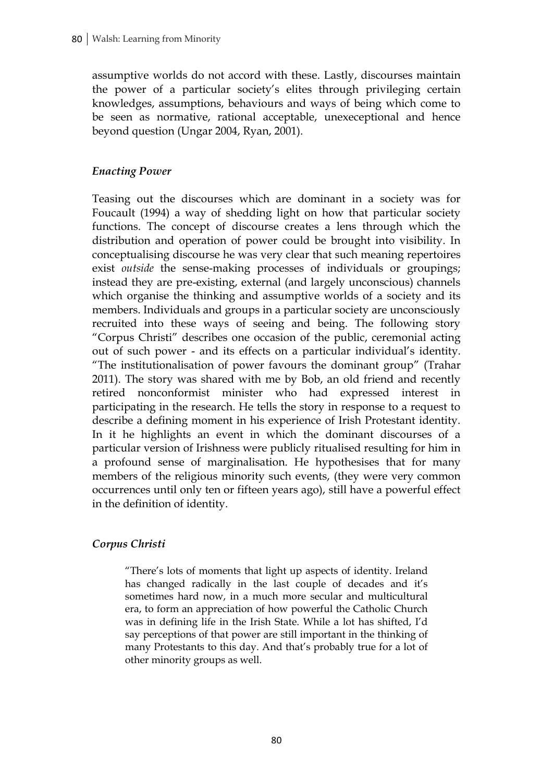assumptive worlds do not accord with these. Lastly, discourses maintain the power of a particular society"s elites through privileging certain knowledges, assumptions, behaviours and ways of being which come to be seen as normative, rational acceptable, unexeceptional and hence beyond question (Ungar 2004, Ryan, 2001).

# *Enacting Power*

Teasing out the discourses which are dominant in a society was for Foucault (1994) a way of shedding light on how that particular society functions. The concept of discourse creates a lens through which the distribution and operation of power could be brought into visibility. In conceptualising discourse he was very clear that such meaning repertoires exist *outside* the sense-making processes of individuals or groupings; instead they are pre-existing, external (and largely unconscious) channels which organise the thinking and assumptive worlds of a society and its members. Individuals and groups in a particular society are unconsciously recruited into these ways of seeing and being. The following story "Corpus Christi" describes one occasion of the public, ceremonial acting out of such power - and its effects on a particular individual"s identity. "The institutionalisation of power favours the dominant group" (Trahar 2011). The story was shared with me by Bob, an old friend and recently retired nonconformist minister who had expressed interest in participating in the research. He tells the story in response to a request to describe a defining moment in his experience of Irish Protestant identity. In it he highlights an event in which the dominant discourses of a particular version of Irishness were publicly ritualised resulting for him in a profound sense of marginalisation. He hypothesises that for many members of the religious minority such events, (they were very common occurrences until only ten or fifteen years ago), still have a powerful effect in the definition of identity.

## *Corpus Christi*

"There"s lots of moments that light up aspects of identity. Ireland has changed radically in the last couple of decades and it's sometimes hard now, in a much more secular and multicultural era, to form an appreciation of how powerful the Catholic Church was in defining life in the Irish State. While a lot has shifted, I"d say perceptions of that power are still important in the thinking of many Protestants to this day. And that"s probably true for a lot of other minority groups as well.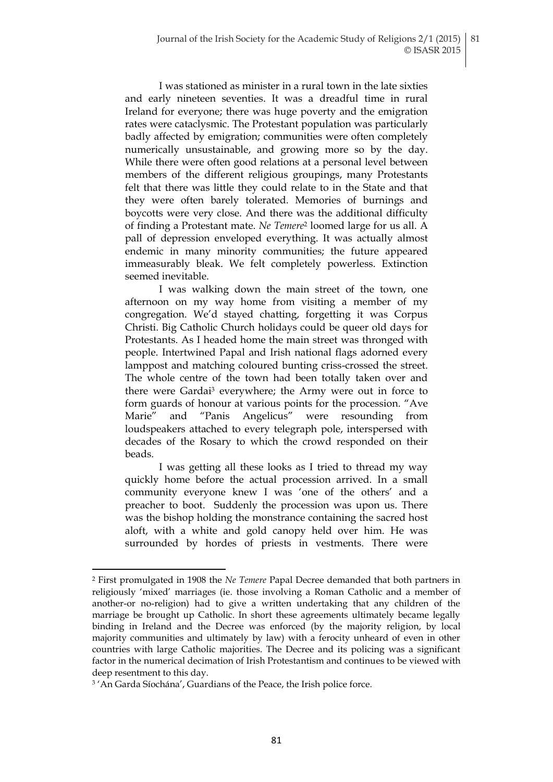I was stationed as minister in a rural town in the late sixties and early nineteen seventies. It was a dreadful time in rural Ireland for everyone; there was huge poverty and the emigration rates were cataclysmic. The Protestant population was particularly badly affected by emigration; communities were often completely numerically unsustainable, and growing more so by the day. While there were often good relations at a personal level between members of the different religious groupings, many Protestants felt that there was little they could relate to in the State and that they were often barely tolerated. Memories of burnings and boycotts were very close. And there was the additional difficulty of finding a Protestant mate. *Ne Temere*<sup>2</sup> loomed large for us all. A pall of depression enveloped everything. It was actually almost endemic in many minority communities; the future appeared immeasurably bleak. We felt completely powerless. Extinction seemed inevitable.

I was walking down the main street of the town, one afternoon on my way home from visiting a member of my congregation. We"d stayed chatting, forgetting it was Corpus Christi. Big Catholic Church holidays could be queer old days for Protestants. As I headed home the main street was thronged with people. Intertwined Papal and Irish national flags adorned every lamppost and matching coloured bunting criss-crossed the street. The whole centre of the town had been totally taken over and there were Gardai<sup>3</sup> everywhere; the Army were out in force to form guards of honour at various points for the procession. "Ave Marie" and "Panis Angelicus" were resounding from loudspeakers attached to every telegraph pole, interspersed with decades of the Rosary to which the crowd responded on their beads.

I was getting all these looks as I tried to thread my way quickly home before the actual procession arrived. In a small community everyone knew I was "one of the others" and a preacher to boot. Suddenly the procession was upon us. There was the bishop holding the monstrance containing the sacred host aloft, with a white and gold canopy held over him. He was surrounded by hordes of priests in vestments. There were

 $\overline{a}$ 

<sup>2</sup> First promulgated in 1908 the *Ne Temere* Papal Decree demanded that both partners in religiously "mixed" marriages (ie. those involving a Roman Catholic and a member of another-or no-religion) had to give a written undertaking that any children of the marriage be brought up Catholic. In short these agreements ultimately became legally binding in Ireland and the Decree was enforced (by the majority religion, by local majority communities and ultimately by law) with a ferocity unheard of even in other countries with large Catholic majorities. The Decree and its policing was a significant factor in the numerical decimation of Irish Protestantism and continues to be viewed with deep resentment to this day.

<sup>&</sup>lt;sup>3</sup> 'An Garda Síochána', Guardians of the Peace, the Irish police force.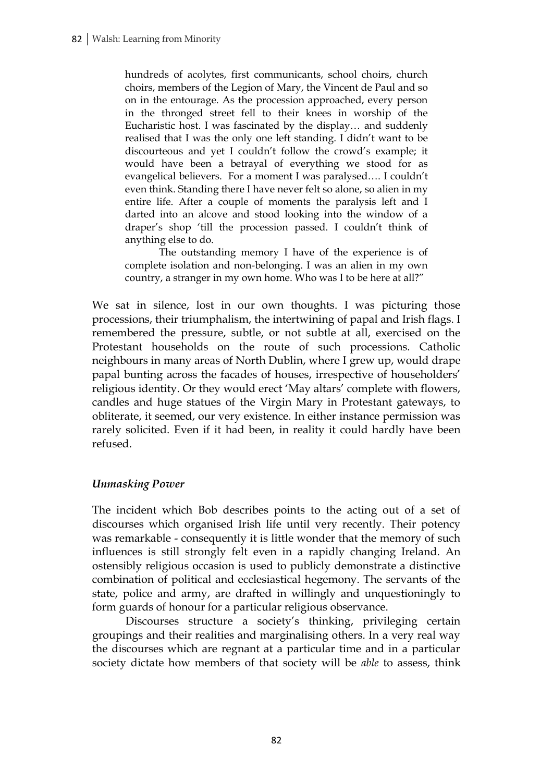hundreds of acolytes, first communicants, school choirs, church choirs, members of the Legion of Mary, the Vincent de Paul and so on in the entourage. As the procession approached, every person in the thronged street fell to their knees in worship of the Eucharistic host. I was fascinated by the display… and suddenly realised that I was the only one left standing. I didn't want to be discourteous and yet I couldn"t follow the crowd"s example; it would have been a betrayal of everything we stood for as evangelical believers. For a moment I was paralysed…. I couldn"t even think. Standing there I have never felt so alone, so alien in my entire life. After a couple of moments the paralysis left and I darted into an alcove and stood looking into the window of a draper's shop 'till the procession passed. I couldn't think of anything else to do.

The outstanding memory I have of the experience is of complete isolation and non-belonging. I was an alien in my own country, a stranger in my own home. Who was I to be here at all?"

We sat in silence, lost in our own thoughts. I was picturing those processions, their triumphalism, the intertwining of papal and Irish flags. I remembered the pressure, subtle, or not subtle at all, exercised on the Protestant households on the route of such processions. Catholic neighbours in many areas of North Dublin, where I grew up, would drape papal bunting across the facades of houses, irrespective of householders" religious identity. Or they would erect 'May altars' complete with flowers, candles and huge statues of the Virgin Mary in Protestant gateways, to obliterate, it seemed, our very existence. In either instance permission was rarely solicited. Even if it had been, in reality it could hardly have been refused.

## *Unmasking Power*

The incident which Bob describes points to the acting out of a set of discourses which organised Irish life until very recently. Their potency was remarkable - consequently it is little wonder that the memory of such influences is still strongly felt even in a rapidly changing Ireland. An ostensibly religious occasion is used to publicly demonstrate a distinctive combination of political and ecclesiastical hegemony. The servants of the state, police and army, are drafted in willingly and unquestioningly to form guards of honour for a particular religious observance.

Discourses structure a society's thinking, privileging certain groupings and their realities and marginalising others. In a very real way the discourses which are regnant at a particular time and in a particular society dictate how members of that society will be *able* to assess, think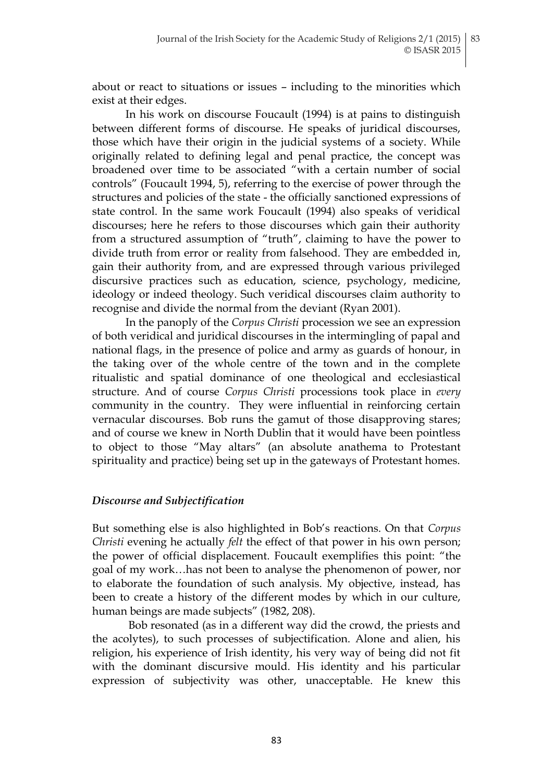about or react to situations or issues – including to the minorities which exist at their edges.

In his work on discourse Foucault (1994) is at pains to distinguish between different forms of discourse. He speaks of juridical discourses, those which have their origin in the judicial systems of a society. While originally related to defining legal and penal practice, the concept was broadened over time to be associated "with a certain number of social controls" (Foucault 1994, 5), referring to the exercise of power through the structures and policies of the state - the officially sanctioned expressions of state control. In the same work Foucault (1994) also speaks of veridical discourses; here he refers to those discourses which gain their authority from a structured assumption of "truth", claiming to have the power to divide truth from error or reality from falsehood. They are embedded in, gain their authority from, and are expressed through various privileged discursive practices such as education, science, psychology, medicine, ideology or indeed theology. Such veridical discourses claim authority to recognise and divide the normal from the deviant (Ryan 2001).

In the panoply of the *Corpus Christi* procession we see an expression of both veridical and juridical discourses in the intermingling of papal and national flags, in the presence of police and army as guards of honour, in the taking over of the whole centre of the town and in the complete ritualistic and spatial dominance of one theological and ecclesiastical structure. And of course *Corpus Christi* processions took place in *every*  community in the country. They were influential in reinforcing certain vernacular discourses. Bob runs the gamut of those disapproving stares; and of course we knew in North Dublin that it would have been pointless to object to those "May altars" (an absolute anathema to Protestant spirituality and practice) being set up in the gateways of Protestant homes.

# *Discourse and Subjectification*

But something else is also highlighted in Bob"s reactions. On that *Corpus Christi* evening he actually *felt* the effect of that power in his own person; the power of official displacement. Foucault exemplifies this point: "the goal of my work…has not been to analyse the phenomenon of power, nor to elaborate the foundation of such analysis. My objective, instead, has been to create a history of the different modes by which in our culture, human beings are made subjects" (1982, 208).

Bob resonated (as in a different way did the crowd, the priests and the acolytes), to such processes of subjectification. Alone and alien, his religion, his experience of Irish identity, his very way of being did not fit with the dominant discursive mould. His identity and his particular expression of subjectivity was other, unacceptable. He knew this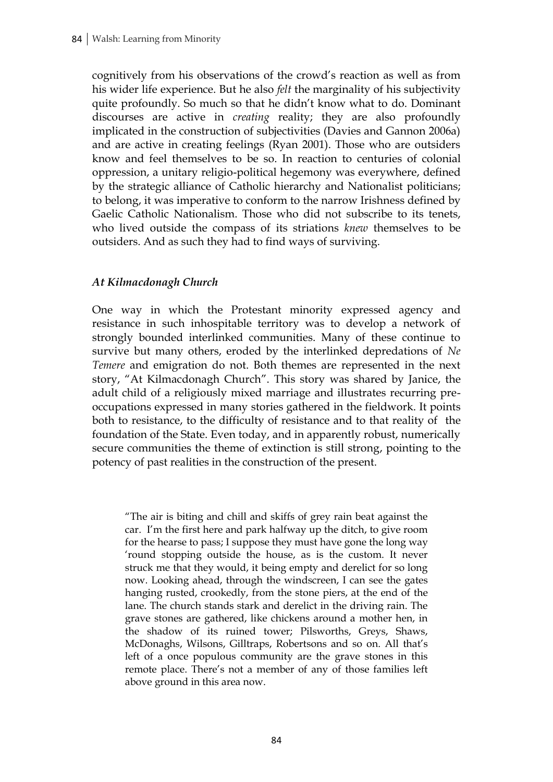cognitively from his observations of the crowd"s reaction as well as from his wider life experience. But he also *felt* the marginality of his subjectivity quite profoundly. So much so that he didn"t know what to do. Dominant discourses are active in *creating* reality; they are also profoundly implicated in the construction of subjectivities (Davies and Gannon 2006a) and are active in creating feelings (Ryan 2001). Those who are outsiders know and feel themselves to be so. In reaction to centuries of colonial oppression, a unitary religio-political hegemony was everywhere, defined by the strategic alliance of Catholic hierarchy and Nationalist politicians; to belong, it was imperative to conform to the narrow Irishness defined by Gaelic Catholic Nationalism. Those who did not subscribe to its tenets, who lived outside the compass of its striations *knew* themselves to be outsiders. And as such they had to find ways of surviving.

## *At Kilmacdonagh Church*

One way in which the Protestant minority expressed agency and resistance in such inhospitable territory was to develop a network of strongly bounded interlinked communities. Many of these continue to survive but many others, eroded by the interlinked depredations of *Ne Temere* and emigration do not. Both themes are represented in the next story, "At Kilmacdonagh Church". This story was shared by Janice, the adult child of a religiously mixed marriage and illustrates recurring preoccupations expressed in many stories gathered in the fieldwork. It points both to resistance, to the difficulty of resistance and to that reality of the foundation of the State. Even today, and in apparently robust, numerically secure communities the theme of extinction is still strong, pointing to the potency of past realities in the construction of the present.

"The air is biting and chill and skiffs of grey rain beat against the car. I"m the first here and park halfway up the ditch, to give room for the hearse to pass; I suppose they must have gone the long way "round stopping outside the house, as is the custom. It never struck me that they would, it being empty and derelict for so long now. Looking ahead, through the windscreen, I can see the gates hanging rusted, crookedly, from the stone piers, at the end of the lane. The church stands stark and derelict in the driving rain. The grave stones are gathered, like chickens around a mother hen, in the shadow of its ruined tower; Pilsworths, Greys, Shaws, McDonaghs, Wilsons, Gilltraps, Robertsons and so on. All that"s left of a once populous community are the grave stones in this remote place. There"s not a member of any of those families left above ground in this area now.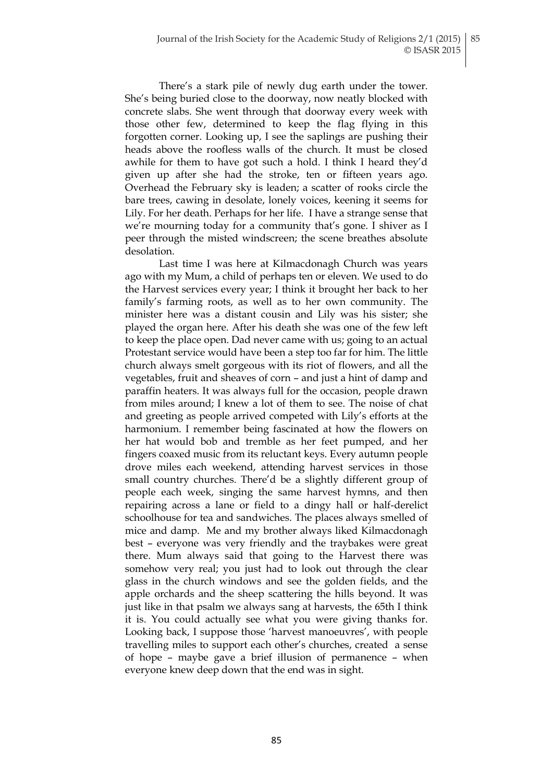There's a stark pile of newly dug earth under the tower. She"s being buried close to the doorway, now neatly blocked with concrete slabs. She went through that doorway every week with those other few, determined to keep the flag flying in this forgotten corner. Looking up, I see the saplings are pushing their heads above the roofless walls of the church. It must be closed awhile for them to have got such a hold. I think I heard they"d given up after she had the stroke, ten or fifteen years ago. Overhead the February sky is leaden; a scatter of rooks circle the bare trees, cawing in desolate, lonely voices, keening it seems for Lily. For her death. Perhaps for her life. I have a strange sense that we're mourning today for a community that's gone. I shiver as I peer through the misted windscreen; the scene breathes absolute desolation.

Last time I was here at Kilmacdonagh Church was years ago with my Mum, a child of perhaps ten or eleven. We used to do the Harvest services every year; I think it brought her back to her family"s farming roots, as well as to her own community. The minister here was a distant cousin and Lily was his sister; she played the organ here. After his death she was one of the few left to keep the place open. Dad never came with us; going to an actual Protestant service would have been a step too far for him. The little church always smelt gorgeous with its riot of flowers, and all the vegetables, fruit and sheaves of corn – and just a hint of damp and paraffin heaters. It was always full for the occasion, people drawn from miles around; I knew a lot of them to see. The noise of chat and greeting as people arrived competed with Lily"s efforts at the harmonium. I remember being fascinated at how the flowers on her hat would bob and tremble as her feet pumped, and her fingers coaxed music from its reluctant keys. Every autumn people drove miles each weekend, attending harvest services in those small country churches. There'd be a slightly different group of people each week, singing the same harvest hymns, and then repairing across a lane or field to a dingy hall or half-derelict schoolhouse for tea and sandwiches. The places always smelled of mice and damp. Me and my brother always liked Kilmacdonagh best – everyone was very friendly and the traybakes were great there. Mum always said that going to the Harvest there was somehow very real; you just had to look out through the clear glass in the church windows and see the golden fields, and the apple orchards and the sheep scattering the hills beyond. It was just like in that psalm we always sang at harvests, the 65th I think it is. You could actually see what you were giving thanks for. Looking back, I suppose those 'harvest manoeuvres', with people travelling miles to support each other"s churches, created a sense of hope – maybe gave a brief illusion of permanence – when everyone knew deep down that the end was in sight.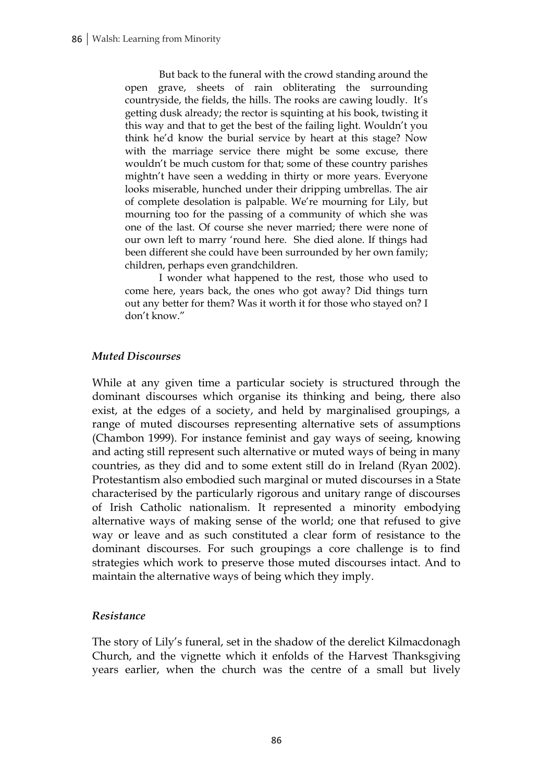But back to the funeral with the crowd standing around the open grave, sheets of rain obliterating the surrounding countryside, the fields, the hills. The rooks are cawing loudly. It's getting dusk already; the rector is squinting at his book, twisting it this way and that to get the best of the failing light. Wouldn"t you think he"d know the burial service by heart at this stage? Now with the marriage service there might be some excuse, there wouldn"t be much custom for that; some of these country parishes mightn"t have seen a wedding in thirty or more years. Everyone looks miserable, hunched under their dripping umbrellas. The air of complete desolation is palpable. We"re mourning for Lily, but mourning too for the passing of a community of which she was one of the last. Of course she never married; there were none of our own left to marry "round here. She died alone. If things had been different she could have been surrounded by her own family; children, perhaps even grandchildren.

I wonder what happened to the rest, those who used to come here, years back, the ones who got away? Did things turn out any better for them? Was it worth it for those who stayed on? I don"t know."

## *Muted Discourses*

While at any given time a particular society is structured through the dominant discourses which organise its thinking and being, there also exist, at the edges of a society, and held by marginalised groupings, a range of muted discourses representing alternative sets of assumptions (Chambon 1999). For instance feminist and gay ways of seeing, knowing and acting still represent such alternative or muted ways of being in many countries, as they did and to some extent still do in Ireland (Ryan 2002). Protestantism also embodied such marginal or muted discourses in a State characterised by the particularly rigorous and unitary range of discourses of Irish Catholic nationalism. It represented a minority embodying alternative ways of making sense of the world; one that refused to give way or leave and as such constituted a clear form of resistance to the dominant discourses. For such groupings a core challenge is to find strategies which work to preserve those muted discourses intact. And to maintain the alternative ways of being which they imply.

## *Resistance*

The story of Lily"s funeral, set in the shadow of the derelict Kilmacdonagh Church, and the vignette which it enfolds of the Harvest Thanksgiving years earlier, when the church was the centre of a small but lively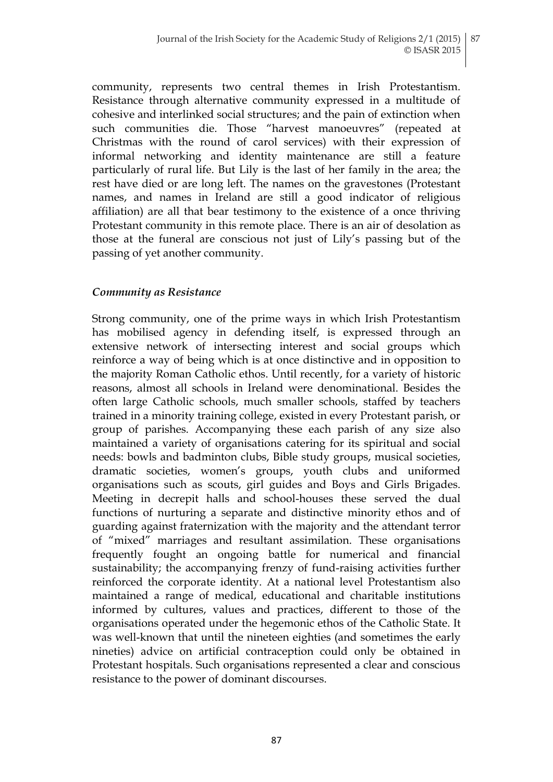community, represents two central themes in Irish Protestantism. Resistance through alternative community expressed in a multitude of cohesive and interlinked social structures; and the pain of extinction when such communities die. Those "harvest manoeuvres" (repeated at Christmas with the round of carol services) with their expression of informal networking and identity maintenance are still a feature particularly of rural life. But Lily is the last of her family in the area; the rest have died or are long left. The names on the gravestones (Protestant names, and names in Ireland are still a good indicator of religious affiliation) are all that bear testimony to the existence of a once thriving Protestant community in this remote place. There is an air of desolation as those at the funeral are conscious not just of Lily"s passing but of the passing of yet another community.

## *Community as Resistance*

Strong community, one of the prime ways in which Irish Protestantism has mobilised agency in defending itself, is expressed through an extensive network of intersecting interest and social groups which reinforce a way of being which is at once distinctive and in opposition to the majority Roman Catholic ethos. Until recently, for a variety of historic reasons, almost all schools in Ireland were denominational. Besides the often large Catholic schools, much smaller schools, staffed by teachers trained in a minority training college, existed in every Protestant parish, or group of parishes. Accompanying these each parish of any size also maintained a variety of organisations catering for its spiritual and social needs: bowls and badminton clubs, Bible study groups, musical societies, dramatic societies, women"s groups, youth clubs and uniformed organisations such as scouts, girl guides and Boys and Girls Brigades. Meeting in decrepit halls and school-houses these served the dual functions of nurturing a separate and distinctive minority ethos and of guarding against fraternization with the majority and the attendant terror of "mixed" marriages and resultant assimilation. These organisations frequently fought an ongoing battle for numerical and financial sustainability; the accompanying frenzy of fund-raising activities further reinforced the corporate identity. At a national level Protestantism also maintained a range of medical, educational and charitable institutions informed by cultures, values and practices, different to those of the organisations operated under the hegemonic ethos of the Catholic State. It was well-known that until the nineteen eighties (and sometimes the early nineties) advice on artificial contraception could only be obtained in Protestant hospitals. Such organisations represented a clear and conscious resistance to the power of dominant discourses.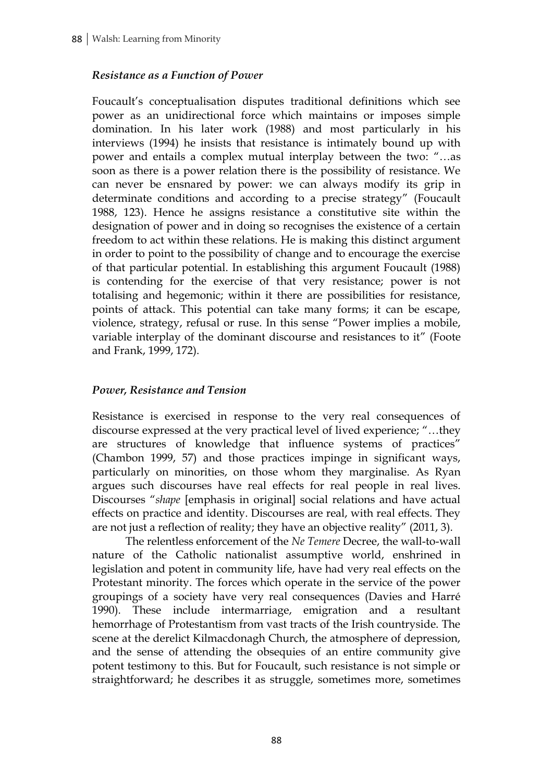# *Resistance as a Function of Power*

Foucault's conceptualisation disputes traditional definitions which see power as an unidirectional force which maintains or imposes simple domination. In his later work (1988) and most particularly in his interviews (1994) he insists that resistance is intimately bound up with power and entails a complex mutual interplay between the two: "…as soon as there is a power relation there is the possibility of resistance. We can never be ensnared by power: we can always modify its grip in determinate conditions and according to a precise strategy" (Foucault 1988, 123). Hence he assigns resistance a constitutive site within the designation of power and in doing so recognises the existence of a certain freedom to act within these relations. He is making this distinct argument in order to point to the possibility of change and to encourage the exercise of that particular potential. In establishing this argument Foucault (1988) is contending for the exercise of that very resistance; power is not totalising and hegemonic; within it there are possibilities for resistance, points of attack. This potential can take many forms; it can be escape, violence, strategy, refusal or ruse. In this sense "Power implies a mobile, variable interplay of the dominant discourse and resistances to it" (Foote and Frank, 1999, 172).

## *Power, Resistance and Tension*

Resistance is exercised in response to the very real consequences of discourse expressed at the very practical level of lived experience; "…they are structures of knowledge that influence systems of practices" (Chambon 1999, 57) and those practices impinge in significant ways, particularly on minorities, on those whom they marginalise. As Ryan argues such discourses have real effects for real people in real lives. Discourses "*shape* [emphasis in original] social relations and have actual effects on practice and identity. Discourses are real, with real effects. They are not just a reflection of reality; they have an objective reality" (2011, 3).

The relentless enforcement of the *Ne Temere* Decree, the wall-to-wall nature of the Catholic nationalist assumptive world, enshrined in legislation and potent in community life, have had very real effects on the Protestant minority. The forces which operate in the service of the power groupings of a society have very real consequences (Davies and Harré 1990). These include intermarriage, emigration and a resultant hemorrhage of Protestantism from vast tracts of the Irish countryside. The scene at the derelict Kilmacdonagh Church, the atmosphere of depression, and the sense of attending the obsequies of an entire community give potent testimony to this. But for Foucault, such resistance is not simple or straightforward; he describes it as struggle, sometimes more, sometimes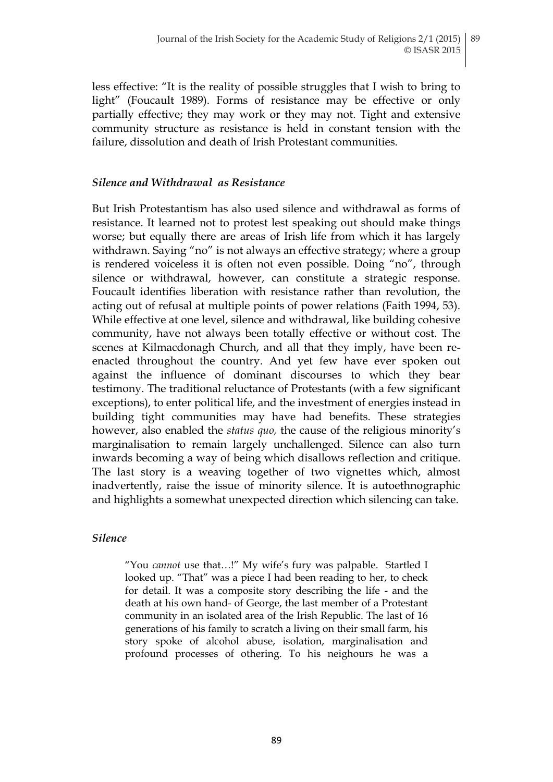less effective: "It is the reality of possible struggles that I wish to bring to light" (Foucault 1989). Forms of resistance may be effective or only partially effective; they may work or they may not. Tight and extensive community structure as resistance is held in constant tension with the failure, dissolution and death of Irish Protestant communities.

#### *Silence and Withdrawal as Resistance*

But Irish Protestantism has also used silence and withdrawal as forms of resistance. It learned not to protest lest speaking out should make things worse; but equally there are areas of Irish life from which it has largely withdrawn. Saying "no" is not always an effective strategy; where a group is rendered voiceless it is often not even possible. Doing "no", through silence or withdrawal, however, can constitute a strategic response. Foucault identifies liberation with resistance rather than revolution, the acting out of refusal at multiple points of power relations (Faith 1994, 53). While effective at one level, silence and withdrawal, like building cohesive community, have not always been totally effective or without cost. The scenes at Kilmacdonagh Church, and all that they imply, have been reenacted throughout the country. And yet few have ever spoken out against the influence of dominant discourses to which they bear testimony. The traditional reluctance of Protestants (with a few significant exceptions), to enter political life, and the investment of energies instead in building tight communities may have had benefits. These strategies however, also enabled the *status quo,* the cause of the religious minority"s marginalisation to remain largely unchallenged. Silence can also turn inwards becoming a way of being which disallows reflection and critique. The last story is a weaving together of two vignettes which, almost inadvertently, raise the issue of minority silence. It is autoethnographic and highlights a somewhat unexpected direction which silencing can take.

#### *Silence*

"You *cannot* use that…!" My wife"s fury was palpable. Startled I looked up. "That" was a piece I had been reading to her, to check for detail. It was a composite story describing the life - and the death at his own hand- of George, the last member of a Protestant community in an isolated area of the Irish Republic. The last of 16 generations of his family to scratch a living on their small farm, his story spoke of alcohol abuse, isolation, marginalisation and profound processes of othering. To his neighours he was a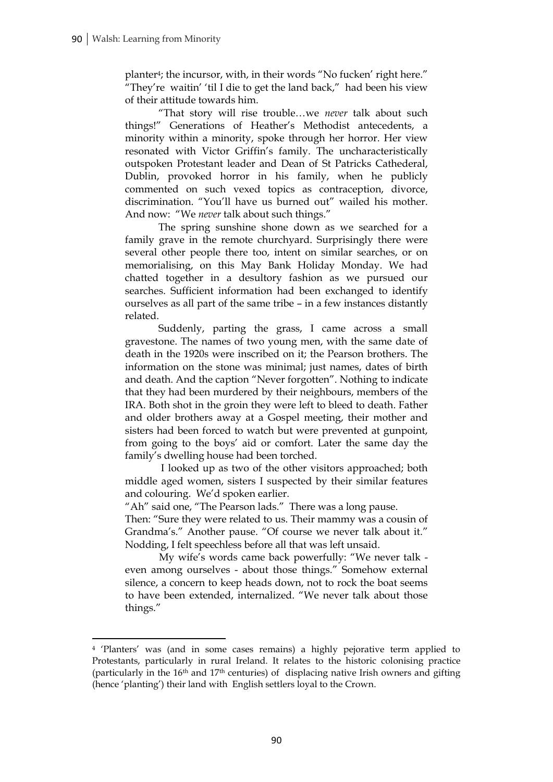$\overline{a}$ 

planter<sup>4</sup>; the incursor, with, in their words "No fucken' right here." "They're waitin' 'til I die to get the land back," had been his view of their attitude towards him.

"That story will rise trouble…we *never* talk about such things!" Generations of Heather"s Methodist antecedents, a minority within a minority, spoke through her horror. Her view resonated with Victor Griffin's family. The uncharacteristically outspoken Protestant leader and Dean of St Patricks Cathederal, Dublin, provoked horror in his family, when he publicly commented on such vexed topics as contraception, divorce, discrimination. "You"ll have us burned out" wailed his mother. And now: "We *never* talk about such things."

The spring sunshine shone down as we searched for a family grave in the remote churchyard. Surprisingly there were several other people there too, intent on similar searches, or on memorialising, on this May Bank Holiday Monday. We had chatted together in a desultory fashion as we pursued our searches. Sufficient information had been exchanged to identify ourselves as all part of the same tribe – in a few instances distantly related.

Suddenly, parting the grass, I came across a small gravestone. The names of two young men, with the same date of death in the 1920s were inscribed on it; the Pearson brothers. The information on the stone was minimal; just names, dates of birth and death. And the caption "Never forgotten". Nothing to indicate that they had been murdered by their neighbours, members of the IRA. Both shot in the groin they were left to bleed to death. Father and older brothers away at a Gospel meeting, their mother and sisters had been forced to watch but were prevented at gunpoint, from going to the boys" aid or comfort. Later the same day the family's dwelling house had been torched.

I looked up as two of the other visitors approached; both middle aged women, sisters I suspected by their similar features and colouring. We"d spoken earlier.

"Ah" said one, "The Pearson lads." There was a long pause.

Then: "Sure they were related to us. Their mammy was a cousin of Grandma"s." Another pause. "Of course we never talk about it." Nodding, I felt speechless before all that was left unsaid.

My wife"s words came back powerfully: "We never talk even among ourselves - about those things." Somehow external silence, a concern to keep heads down, not to rock the boat seems to have been extended, internalized. "We never talk about those things."

<sup>4</sup> "Planters" was (and in some cases remains) a highly pejorative term applied to Protestants, particularly in rural Ireland. It relates to the historic colonising practice (particularly in the  $16<sup>th</sup>$  and  $17<sup>th</sup>$  centuries) of displacing native Irish owners and gifting (hence 'planting') their land with English settlers loyal to the Crown.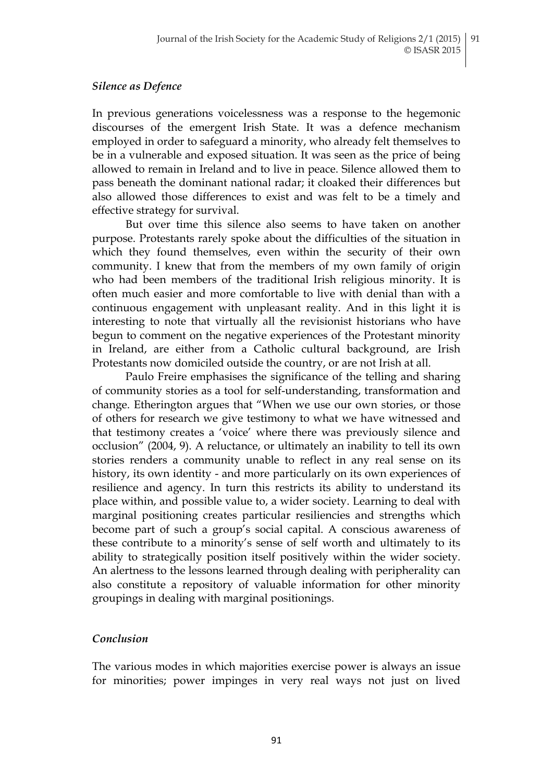#### *Silence as Defence*

In previous generations voicelessness was a response to the hegemonic discourses of the emergent Irish State. It was a defence mechanism employed in order to safeguard a minority, who already felt themselves to be in a vulnerable and exposed situation. It was seen as the price of being allowed to remain in Ireland and to live in peace. Silence allowed them to pass beneath the dominant national radar; it cloaked their differences but also allowed those differences to exist and was felt to be a timely and effective strategy for survival.

But over time this silence also seems to have taken on another purpose. Protestants rarely spoke about the difficulties of the situation in which they found themselves, even within the security of their own community. I knew that from the members of my own family of origin who had been members of the traditional Irish religious minority. It is often much easier and more comfortable to live with denial than with a continuous engagement with unpleasant reality. And in this light it is interesting to note that virtually all the revisionist historians who have begun to comment on the negative experiences of the Protestant minority in Ireland, are either from a Catholic cultural background, are Irish Protestants now domiciled outside the country, or are not Irish at all.

Paulo Freire emphasises the significance of the telling and sharing of community stories as a tool for self-understanding, transformation and change. Etherington argues that "When we use our own stories, or those of others for research we give testimony to what we have witnessed and that testimony creates a "voice" where there was previously silence and occlusion" (2004, 9). A reluctance, or ultimately an inability to tell its own stories renders a community unable to reflect in any real sense on its history, its own identity - and more particularly on its own experiences of resilience and agency. In turn this restricts its ability to understand its place within, and possible value to, a wider society. Learning to deal with marginal positioning creates particular resiliencies and strengths which become part of such a group"s social capital. A conscious awareness of these contribute to a minority"s sense of self worth and ultimately to its ability to strategically position itself positively within the wider society. An alertness to the lessons learned through dealing with peripherality can also constitute a repository of valuable information for other minority groupings in dealing with marginal positionings.

## *Conclusion*

The various modes in which majorities exercise power is always an issue for minorities; power impinges in very real ways not just on lived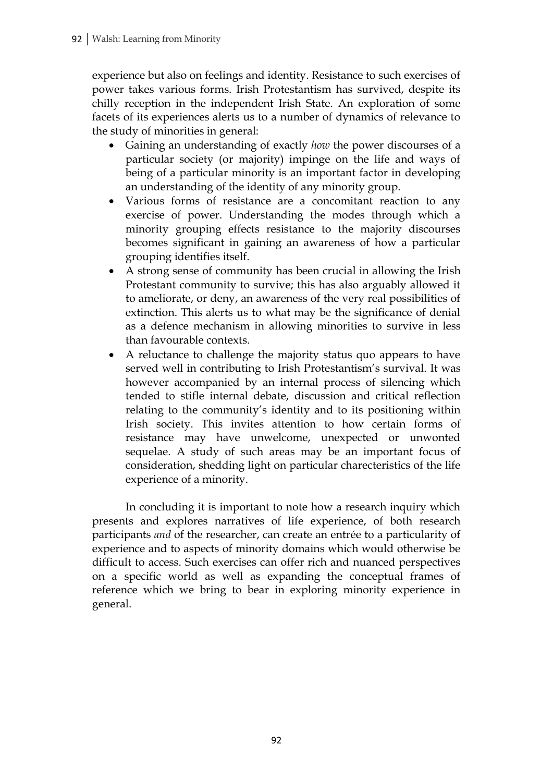experience but also on feelings and identity. Resistance to such exercises of power takes various forms. Irish Protestantism has survived, despite its chilly reception in the independent Irish State. An exploration of some facets of its experiences alerts us to a number of dynamics of relevance to the study of minorities in general:

- Gaining an understanding of exactly *how* the power discourses of a particular society (or majority) impinge on the life and ways of being of a particular minority is an important factor in developing an understanding of the identity of any minority group.
- Various forms of resistance are a concomitant reaction to any exercise of power. Understanding the modes through which a minority grouping effects resistance to the majority discourses becomes significant in gaining an awareness of how a particular grouping identifies itself.
- A strong sense of community has been crucial in allowing the Irish Protestant community to survive; this has also arguably allowed it to ameliorate, or deny, an awareness of the very real possibilities of extinction. This alerts us to what may be the significance of denial as a defence mechanism in allowing minorities to survive in less than favourable contexts.
- A reluctance to challenge the majority status quo appears to have served well in contributing to Irish Protestantism's survival. It was however accompanied by an internal process of silencing which tended to stifle internal debate, discussion and critical reflection relating to the community's identity and to its positioning within Irish society. This invites attention to how certain forms of resistance may have unwelcome, unexpected or unwonted sequelae. A study of such areas may be an important focus of consideration, shedding light on particular charecteristics of the life experience of a minority.

In concluding it is important to note how a research inquiry which presents and explores narratives of life experience, of both research participants *and* of the researcher, can create an entrée to a particularity of experience and to aspects of minority domains which would otherwise be difficult to access. Such exercises can offer rich and nuanced perspectives on a specific world as well as expanding the conceptual frames of reference which we bring to bear in exploring minority experience in general.